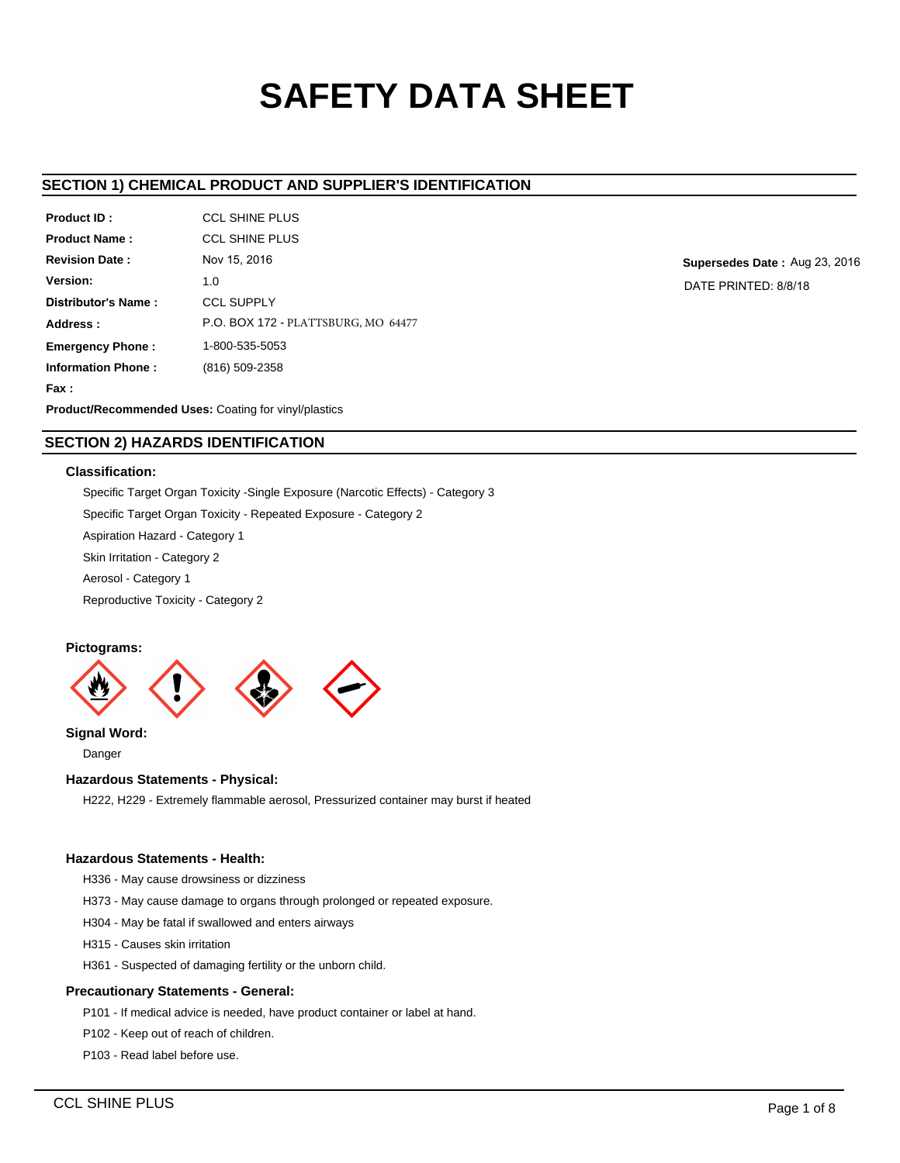# **SAFETY DATA SHEET**

# **SECTION 1) CHEMICAL PRODUCT AND SUPPLIER'S IDENTIFICATION**

| Product ID:                                                           | <b>CCL SHINE PLUS</b>                      |  |  |  |
|-----------------------------------------------------------------------|--------------------------------------------|--|--|--|
| <b>Product Name:</b>                                                  | <b>CCL SHINE PLUS</b>                      |  |  |  |
| <b>Revision Date:</b>                                                 | Nov 15, 2016                               |  |  |  |
| Version:                                                              | 1.0                                        |  |  |  |
| Distributor's Name:                                                   | <b>CCL SUPPLY</b>                          |  |  |  |
| Address:                                                              | <b>P.O. BOX 172 - PLATTSBURG, MO 64477</b> |  |  |  |
| <b>Emergency Phone:</b>                                               | 1-800-535-5053                             |  |  |  |
| <b>Information Phone:</b>                                             | (816) 509-2358                             |  |  |  |
| Fax :                                                                 |                                            |  |  |  |
| Dua decat/Da a a memoria da differente Os attore fa un dan dialectiva |                                            |  |  |  |

**Supersedes Date :** Aug 23, 2016 DATE PRINTED: 8/8/18

**Product/Recommended Uses:** Coating for vinyl/plastics

# **SECTION 2) HAZARDS IDENTIFICATION**

## **Classification:**

Specific Target Organ Toxicity -Single Exposure (Narcotic Effects) - Category 3 Specific Target Organ Toxicity - Repeated Exposure - Category 2

Aspiration Hazard - Category 1

Skin Irritation - Category 2

Aerosol - Category 1

Reproductive Toxicity - Category 2

## **Pictograms:**



**Signal Word:**

Danger

## **Hazardous Statements - Physical:**

H222, H229 - Extremely flammable aerosol, Pressurized container may burst if heated

# **Hazardous Statements - Health:**

H336 - May cause drowsiness or dizziness

H373 - May cause damage to organs through prolonged or repeated exposure.

H304 - May be fatal if swallowed and enters airways

H315 - Causes skin irritation

H361 - Suspected of damaging fertility or the unborn child.

## **Precautionary Statements - General:**

P101 - If medical advice is needed, have product container or label at hand.

P102 - Keep out of reach of children.

P103 - Read label before use.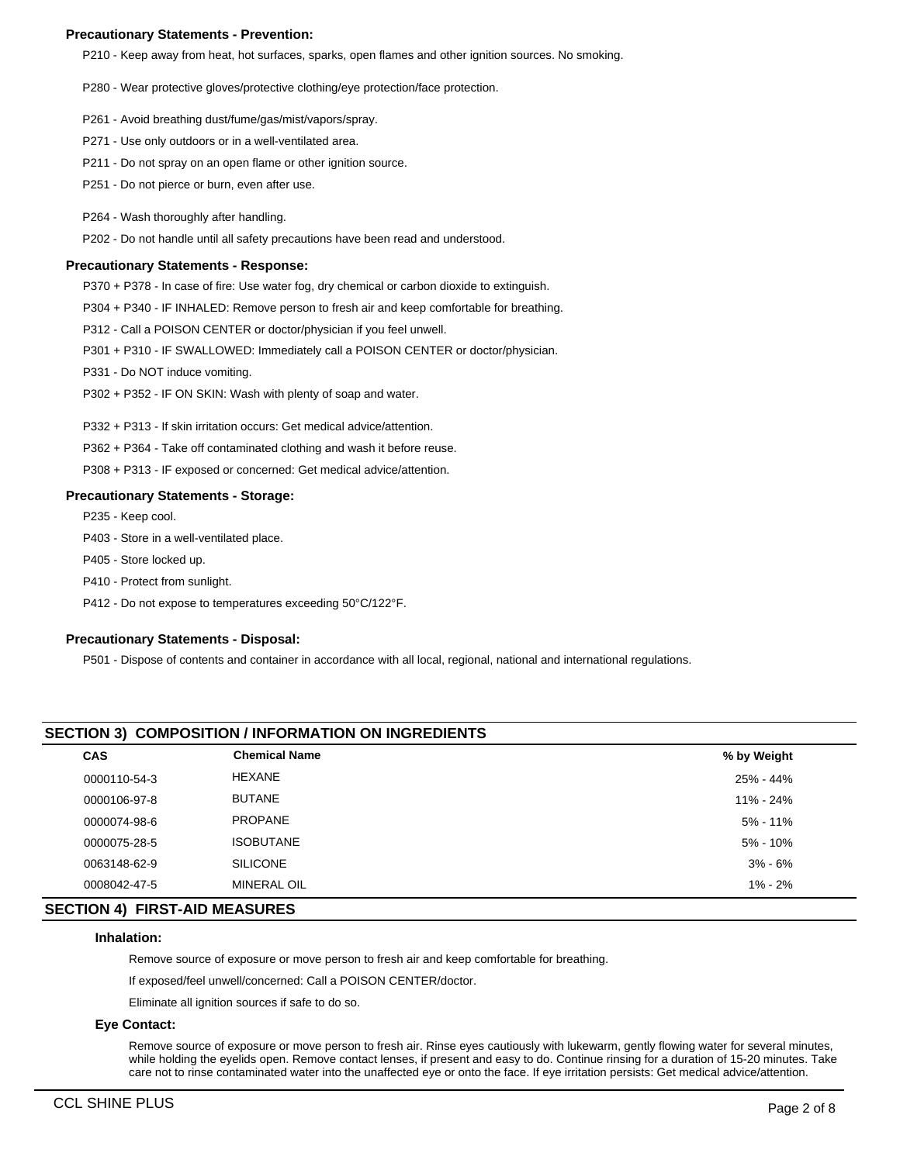### **Precautionary Statements - Prevention:**

P210 - Keep away from heat, hot surfaces, sparks, open flames and other ignition sources. No smoking.

P280 - Wear protective gloves/protective clothing/eye protection/face protection.

- P261 Avoid breathing dust/fume/gas/mist/vapors/spray.
- P271 Use only outdoors or in a well-ventilated area.
- P211 Do not spray on an open flame or other ignition source.
- P251 Do not pierce or burn, even after use.
- P264 Wash thoroughly after handling.

P202 - Do not handle until all safety precautions have been read and understood.

#### **Precautionary Statements - Response:**

P370 + P378 - In case of fire: Use water fog, dry chemical or carbon dioxide to extinguish.

P304 + P340 - IF INHALED: Remove person to fresh air and keep comfortable for breathing.

P312 - Call a POISON CENTER or doctor/physician if you feel unwell.

- P301 + P310 IF SWALLOWED: Immediately call a POISON CENTER or doctor/physician.
- P331 Do NOT induce vomiting.
- P302 + P352 IF ON SKIN: Wash with plenty of soap and water.

P332 + P313 - If skin irritation occurs: Get medical advice/attention.

P362 + P364 - Take off contaminated clothing and wash it before reuse.

P308 + P313 - IF exposed or concerned: Get medical advice/attention.

#### **Precautionary Statements - Storage:**

P235 - Keep cool.

P403 - Store in a well-ventilated place.

P405 - Store locked up.

- P410 Protect from sunlight.
- P412 Do not expose to temperatures exceeding 50°C/122°F.

#### **Precautionary Statements - Disposal:**

P501 - Dispose of contents and container in accordance with all local, regional, national and international regulations.

# **SECTION 3) COMPOSITION / INFORMATION ON INGREDIENTS**

| <b>CAS</b>   | <b>Chemical Name</b> | % by Weight  |  |
|--------------|----------------------|--------------|--|
| 0000110-54-3 | <b>HEXANE</b>        | 25% - 44%    |  |
| 0000106-97-8 | <b>BUTANE</b>        | 11% - 24%    |  |
| 0000074-98-6 | <b>PROPANE</b>       | $5\% - 11\%$ |  |
| 0000075-28-5 | <b>ISOBUTANE</b>     | $5\% - 10\%$ |  |
| 0063148-62-9 | <b>SILICONE</b>      | $3\% - 6\%$  |  |
| 0008042-47-5 | <b>MINERAL OIL</b>   | $1\% - 2\%$  |  |
|              |                      |              |  |

## **SECTION 4) FIRST-AID MEASURES**

#### **Inhalation:**

Remove source of exposure or move person to fresh air and keep comfortable for breathing.

If exposed/feel unwell/concerned: Call a POISON CENTER/doctor.

Eliminate all ignition sources if safe to do so.

## **Eye Contact:**

Remove source of exposure or move person to fresh air. Rinse eyes cautiously with lukewarm, gently flowing water for several minutes, while holding the eyelids open. Remove contact lenses, if present and easy to do. Continue rinsing for a duration of 15-20 minutes. Take care not to rinse contaminated water into the unaffected eye or onto the face. If eye irritation persists: Get medical advice/attention.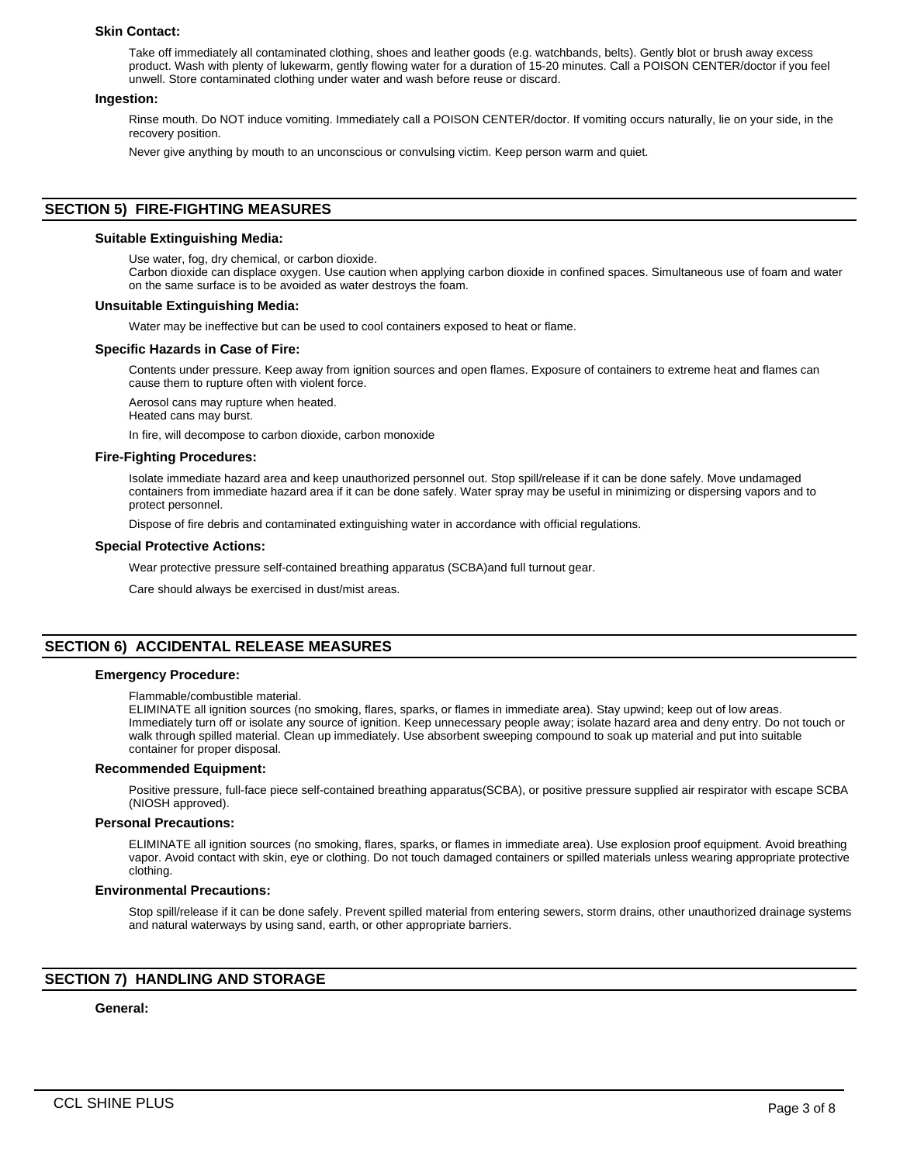#### **Skin Contact:**

Take off immediately all contaminated clothing, shoes and leather goods (e.g. watchbands, belts). Gently blot or brush away excess product. Wash with plenty of lukewarm, gently flowing water for a duration of 15-20 minutes. Call a POISON CENTER/doctor if you feel unwell. Store contaminated clothing under water and wash before reuse or discard.

#### **Ingestion:**

Rinse mouth. Do NOT induce vomiting. Immediately call a POISON CENTER/doctor. If vomiting occurs naturally, lie on your side, in the recovery position.

Never give anything by mouth to an unconscious or convulsing victim. Keep person warm and quiet.

## **SECTION 5) FIRE-FIGHTING MEASURES**

#### **Suitable Extinguishing Media:**

Use water, fog, dry chemical, or carbon dioxide.

Carbon dioxide can displace oxygen. Use caution when applying carbon dioxide in confined spaces. Simultaneous use of foam and water on the same surface is to be avoided as water destroys the foam.

#### **Unsuitable Extinguishing Media:**

Water may be ineffective but can be used to cool containers exposed to heat or flame.

#### **Specific Hazards in Case of Fire:**

Contents under pressure. Keep away from ignition sources and open flames. Exposure of containers to extreme heat and flames can cause them to rupture often with violent force.

Aerosol cans may rupture when heated.

Heated cans may burst.

In fire, will decompose to carbon dioxide, carbon monoxide

#### **Fire-Fighting Procedures:**

Isolate immediate hazard area and keep unauthorized personnel out. Stop spill/release if it can be done safely. Move undamaged containers from immediate hazard area if it can be done safely. Water spray may be useful in minimizing or dispersing vapors and to protect personnel.

Dispose of fire debris and contaminated extinguishing water in accordance with official regulations.

#### **Special Protective Actions:**

Wear protective pressure self-contained breathing apparatus (SCBA)and full turnout gear.

Care should always be exercised in dust/mist areas.

## **SECTION 6) ACCIDENTAL RELEASE MEASURES**

#### **Emergency Procedure:**

#### Flammable/combustible material.

ELIMINATE all ignition sources (no smoking, flares, sparks, or flames in immediate area). Stay upwind; keep out of low areas. Immediately turn off or isolate any source of ignition. Keep unnecessary people away; isolate hazard area and deny entry. Do not touch or walk through spilled material. Clean up immediately. Use absorbent sweeping compound to soak up material and put into suitable container for proper disposal.

#### **Recommended Equipment:**

Positive pressure, full-face piece self-contained breathing apparatus(SCBA), or positive pressure supplied air respirator with escape SCBA (NIOSH approved).

#### **Personal Precautions:**

ELIMINATE all ignition sources (no smoking, flares, sparks, or flames in immediate area). Use explosion proof equipment. Avoid breathing vapor. Avoid contact with skin, eye or clothing. Do not touch damaged containers or spilled materials unless wearing appropriate protective clothing.

#### **Environmental Precautions:**

Stop spill/release if it can be done safely. Prevent spilled material from entering sewers, storm drains, other unauthorized drainage systems and natural waterways by using sand, earth, or other appropriate barriers.

## **SECTION 7) HANDLING AND STORAGE**

## **General:**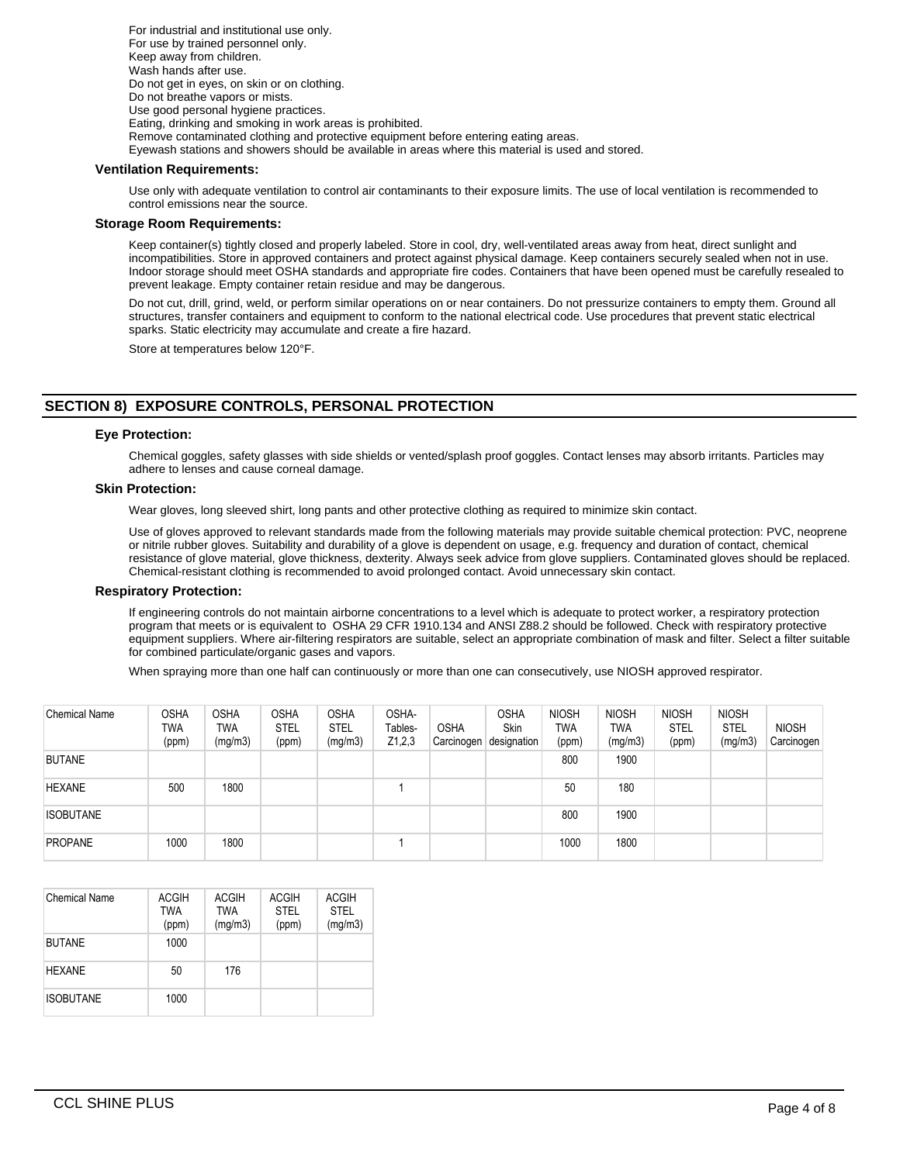For industrial and institutional use only. For use by trained personnel only. Keep away from children. Wash hands after use. Do not get in eyes, on skin or on clothing. Do not breathe vapors or mists. Use good personal hygiene practices. Eating, drinking and smoking in work areas is prohibited. Remove contaminated clothing and protective equipment before entering eating areas. Eyewash stations and showers should be available in areas where this material is used and stored.

#### **Ventilation Requirements:**

Use only with adequate ventilation to control air contaminants to their exposure limits. The use of local ventilation is recommended to control emissions near the source.

## **Storage Room Requirements:**

Keep container(s) tightly closed and properly labeled. Store in cool, dry, well-ventilated areas away from heat, direct sunlight and incompatibilities. Store in approved containers and protect against physical damage. Keep containers securely sealed when not in use. Indoor storage should meet OSHA standards and appropriate fire codes. Containers that have been opened must be carefully resealed to prevent leakage. Empty container retain residue and may be dangerous.

Do not cut, drill, grind, weld, or perform similar operations on or near containers. Do not pressurize containers to empty them. Ground all structures, transfer containers and equipment to conform to the national electrical code. Use procedures that prevent static electrical sparks. Static electricity may accumulate and create a fire hazard.

Store at temperatures below 120°F.

# **SECTION 8) EXPOSURE CONTROLS, PERSONAL PROTECTION**

#### **Eye Protection:**

Chemical goggles, safety glasses with side shields or vented/splash proof goggles. Contact lenses may absorb irritants. Particles may adhere to lenses and cause corneal damage.

## **Skin Protection:**

Wear gloves, long sleeved shirt, long pants and other protective clothing as required to minimize skin contact.

Use of gloves approved to relevant standards made from the following materials may provide suitable chemical protection: PVC, neoprene or nitrile rubber gloves. Suitability and durability of a glove is dependent on usage, e.g. frequency and duration of contact, chemical resistance of glove material, glove thickness, dexterity. Always seek advice from glove suppliers. Contaminated gloves should be replaced. Chemical-resistant clothing is recommended to avoid prolonged contact. Avoid unnecessary skin contact.

#### **Respiratory Protection:**

If engineering controls do not maintain airborne concentrations to a level which is adequate to protect worker, a respiratory protection program that meets or is equivalent to OSHA 29 CFR 1910.134 and ANSI Z88.2 should be followed. Check with respiratory protective equipment suppliers. Where air-filtering respirators are suitable, select an appropriate combination of mask and filter. Select a filter suitable for combined particulate/organic gases and vapors.

When spraying more than one half can continuously or more than one can consecutively, use NIOSH approved respirator.

| <b>Chemical Name</b> | <b>OSHA</b><br>TWA<br>(ppm) | <b>OSHA</b><br>TWA<br>(mg/m3) | <b>OSHA</b><br><b>STEL</b><br>(ppm) | <b>OSHA</b><br><b>STEL</b><br>(mg/m3) | OSHA-<br>Tables-<br>Z1,2,3 | <b>OSHA</b> | <b>OSHA</b><br>Skin<br>Carcinogen designation | <b>NIOSH</b><br>TWA<br>(ppm) | <b>NIOSH</b><br><b>TWA</b><br>(mg/m3) | <b>NIOSH</b><br><b>STEL</b><br>(ppm) | <b>NIOSH</b><br><b>STEL</b><br>(mg/m3) | <b>NIOSH</b><br>Carcinogen |
|----------------------|-----------------------------|-------------------------------|-------------------------------------|---------------------------------------|----------------------------|-------------|-----------------------------------------------|------------------------------|---------------------------------------|--------------------------------------|----------------------------------------|----------------------------|
| <b>BUTANE</b>        |                             |                               |                                     |                                       |                            |             |                                               | 800                          | 1900                                  |                                      |                                        |                            |
| <b>HEXANE</b>        | 500                         | 1800                          |                                     |                                       |                            |             |                                               | 50                           | 180                                   |                                      |                                        |                            |
| <b>ISOBUTANE</b>     |                             |                               |                                     |                                       |                            |             |                                               | 800                          | 1900                                  |                                      |                                        |                            |
| <b>PROPANE</b>       | 1000                        | 1800                          |                                     |                                       |                            |             |                                               | 1000                         | 1800                                  |                                      |                                        |                            |

| <b>Chemical Name</b> | <b>ACGIH</b><br><b>TWA</b><br>(ppm) | <b>ACGIH</b><br><b>TWA</b><br>(mg/m3) | <b>ACGIH</b><br><b>STEL</b><br>(ppm) | <b>ACGIH</b><br><b>STEL</b><br>(mg/m3) |
|----------------------|-------------------------------------|---------------------------------------|--------------------------------------|----------------------------------------|
| <b>BUTANE</b>        | 1000                                |                                       |                                      |                                        |
| <b>HEXANE</b>        | 50                                  | 176                                   |                                      |                                        |
| <b>ISOBUTANE</b>     | 1000                                |                                       |                                      |                                        |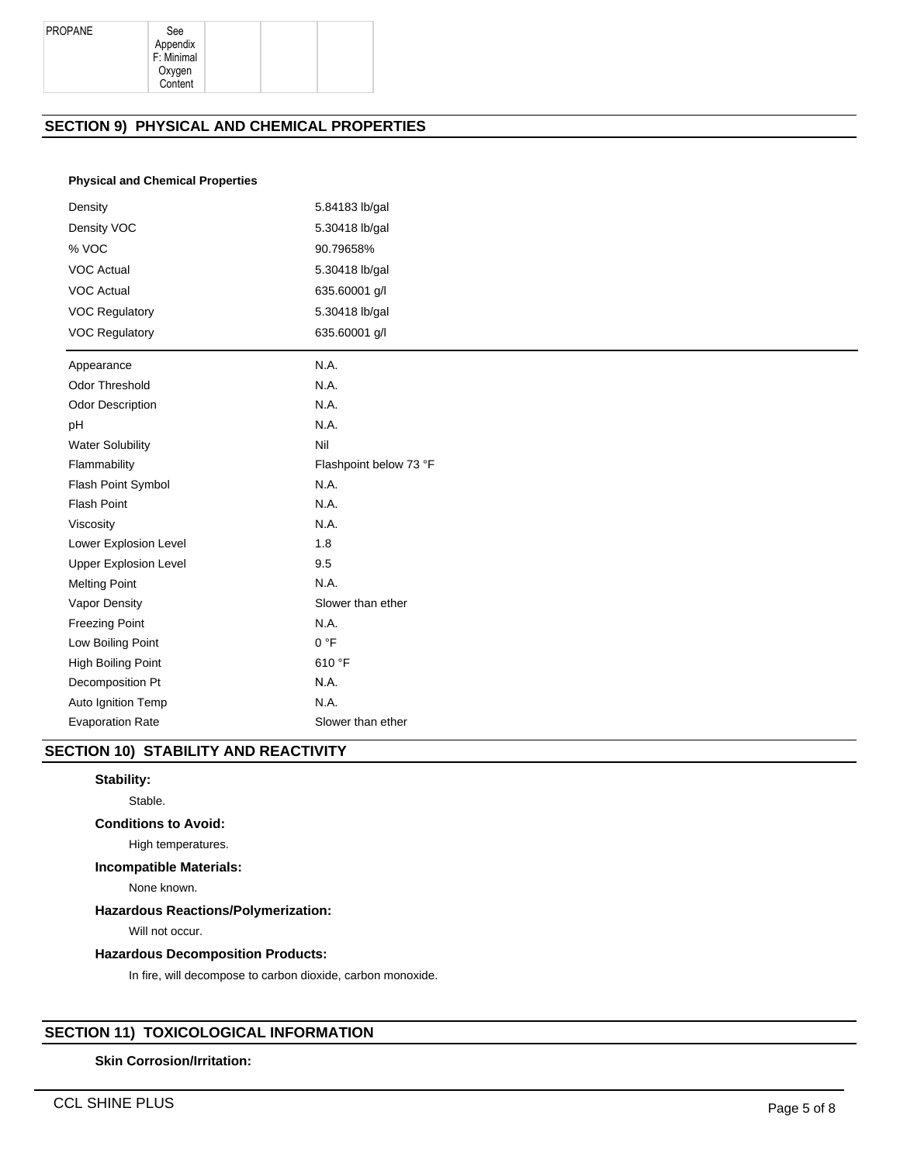Appendix F: Minimal Oxygen Content

# **SECTION 9) PHYSICAL AND CHEMICAL PROPERTIES**

### **Physical and Chemical Properties**

| Density                      | 5.84183 lb/gal         |  |  |  |
|------------------------------|------------------------|--|--|--|
| Density VOC                  | 5.30418 lb/gal         |  |  |  |
| % VOC                        | 90.79658%              |  |  |  |
| <b>VOC Actual</b>            | 5.30418 lb/gal         |  |  |  |
| <b>VOC Actual</b>            | 635.60001 g/l          |  |  |  |
| <b>VOC Regulatory</b>        | 5.30418 lb/gal         |  |  |  |
| <b>VOC Regulatory</b>        | 635.60001 g/l          |  |  |  |
| Appearance                   | N.A.                   |  |  |  |
| Odor Threshold               | N.A.                   |  |  |  |
| <b>Odor Description</b>      | N.A.                   |  |  |  |
| pH                           | N.A.                   |  |  |  |
| <b>Water Solubility</b>      | Nil                    |  |  |  |
| Flammability                 | Flashpoint below 73 °F |  |  |  |
| Flash Point Symbol           | N.A.                   |  |  |  |
| Flash Point                  | N.A.                   |  |  |  |
| Viscosity                    | N.A.                   |  |  |  |
| Lower Explosion Level        | 1.8                    |  |  |  |
| <b>Upper Explosion Level</b> | 9.5                    |  |  |  |
| <b>Melting Point</b>         | N.A.                   |  |  |  |
| Vapor Density                | Slower than ether      |  |  |  |
| <b>Freezing Point</b>        | N.A.                   |  |  |  |
| Low Boiling Point            | 0 °F                   |  |  |  |
| High Boiling Point           | 610 °F                 |  |  |  |
| Decomposition Pt             | N.A.                   |  |  |  |
| Auto Ignition Temp           | N.A.                   |  |  |  |
| <b>Evaporation Rate</b>      | Slower than ether      |  |  |  |

# **SECTION 10) STABILITY AND REACTIVITY**

## **Stability:**

Stable.

# **Conditions to Avoid:**

High temperatures.

### **Incompatible Materials:**

None known.

## **Hazardous Reactions/Polymerization:**

Will not occur.

## **Hazardous Decomposition Products:**

In fire, will decompose to carbon dioxide, carbon monoxide.

# **SECTION 11) TOXICOLOGICAL INFORMATION**

#### **Skin Corrosion/Irritation:**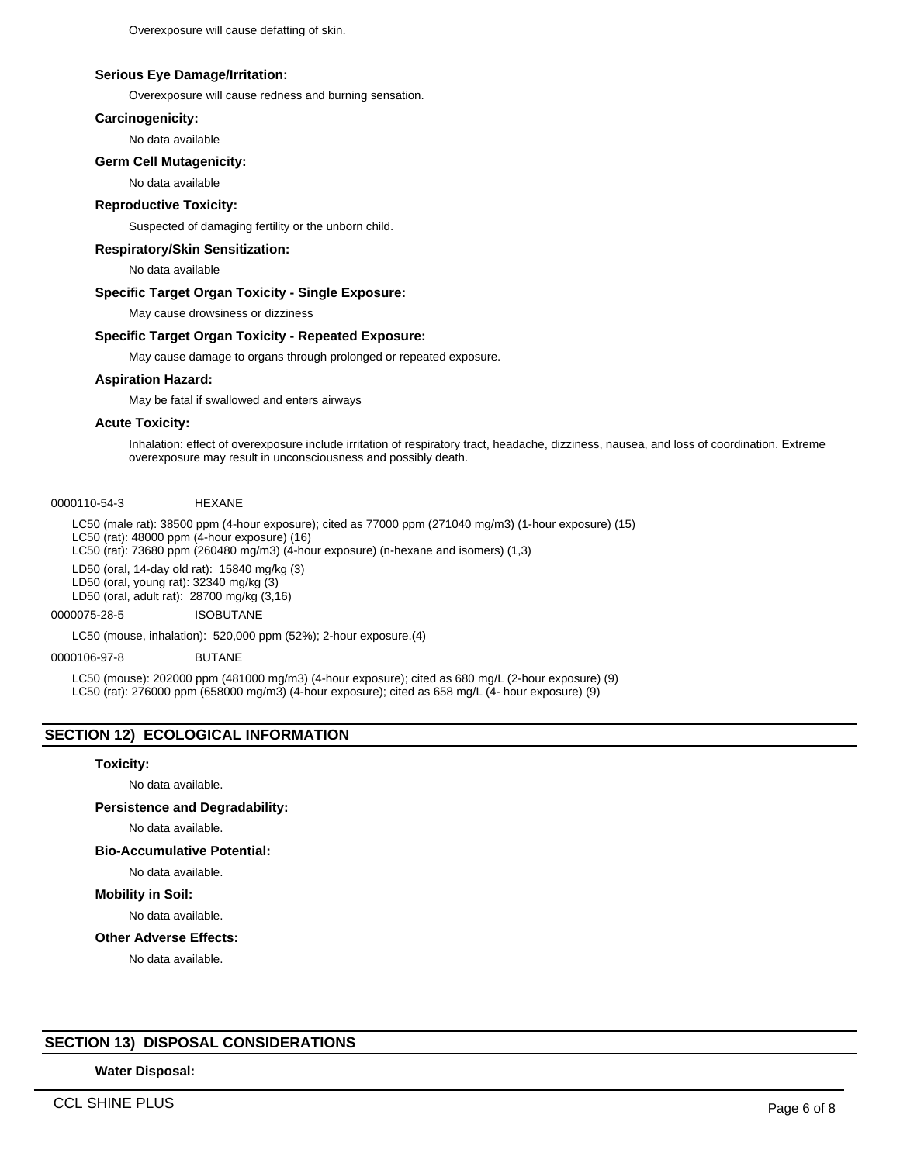Overexposure will cause defatting of skin.

#### **Serious Eye Damage/Irritation:**

Overexposure will cause redness and burning sensation.

#### **Carcinogenicity:**

No data available

#### **Germ Cell Mutagenicity:**

No data available

#### **Reproductive Toxicity:**

Suspected of damaging fertility or the unborn child.

#### **Respiratory/Skin Sensitization:**

No data available

#### **Specific Target Organ Toxicity - Single Exposure:**

May cause drowsiness or dizziness

#### **Specific Target Organ Toxicity - Repeated Exposure:**

May cause damage to organs through prolonged or repeated exposure.

## **Aspiration Hazard:**

May be fatal if swallowed and enters airways

#### **Acute Toxicity:**

Inhalation: effect of overexposure include irritation of respiratory tract, headache, dizziness, nausea, and loss of coordination. Extreme overexposure may result in unconsciousness and possibly death.

0000110-54-3 HEXANE

LC50 (male rat): 38500 ppm (4-hour exposure); cited as 77000 ppm (271040 mg/m3) (1-hour exposure) (15) LC50 (rat): 48000 ppm (4-hour exposure) (16) LC50 (rat): 73680 ppm (260480 mg/m3) (4-hour exposure) (n-hexane and isomers) (1,3)

LD50 (oral, 14-day old rat): 15840 mg/kg (3) LD50 (oral, young rat): 32340 mg/kg (3)

LD50 (oral, adult rat): 28700 mg/kg (3,16)

#### 0000075-28-5 ISOBUTANE

LC50 (mouse, inhalation): 520,000 ppm (52%); 2-hour exposure.(4)

#### 0000106-97-8 BUTANE

LC50 (mouse): 202000 ppm (481000 mg/m3) (4-hour exposure); cited as 680 mg/L (2-hour exposure) (9) LC50 (rat): 276000 ppm (658000 mg/m3) (4-hour exposure); cited as 658 mg/L (4- hour exposure) (9)

## **SECTION 12) ECOLOGICAL INFORMATION**

#### **Toxicity:**

No data available.

## **Persistence and Degradability:**

No data available.

#### **Bio-Accumulative Potential:**

No data available.

## **Mobility in Soil:**

No data available.

#### **Other Adverse Effects:**

No data available.

## **SECTION 13) DISPOSAL CONSIDERATIONS**

# **Water Disposal:**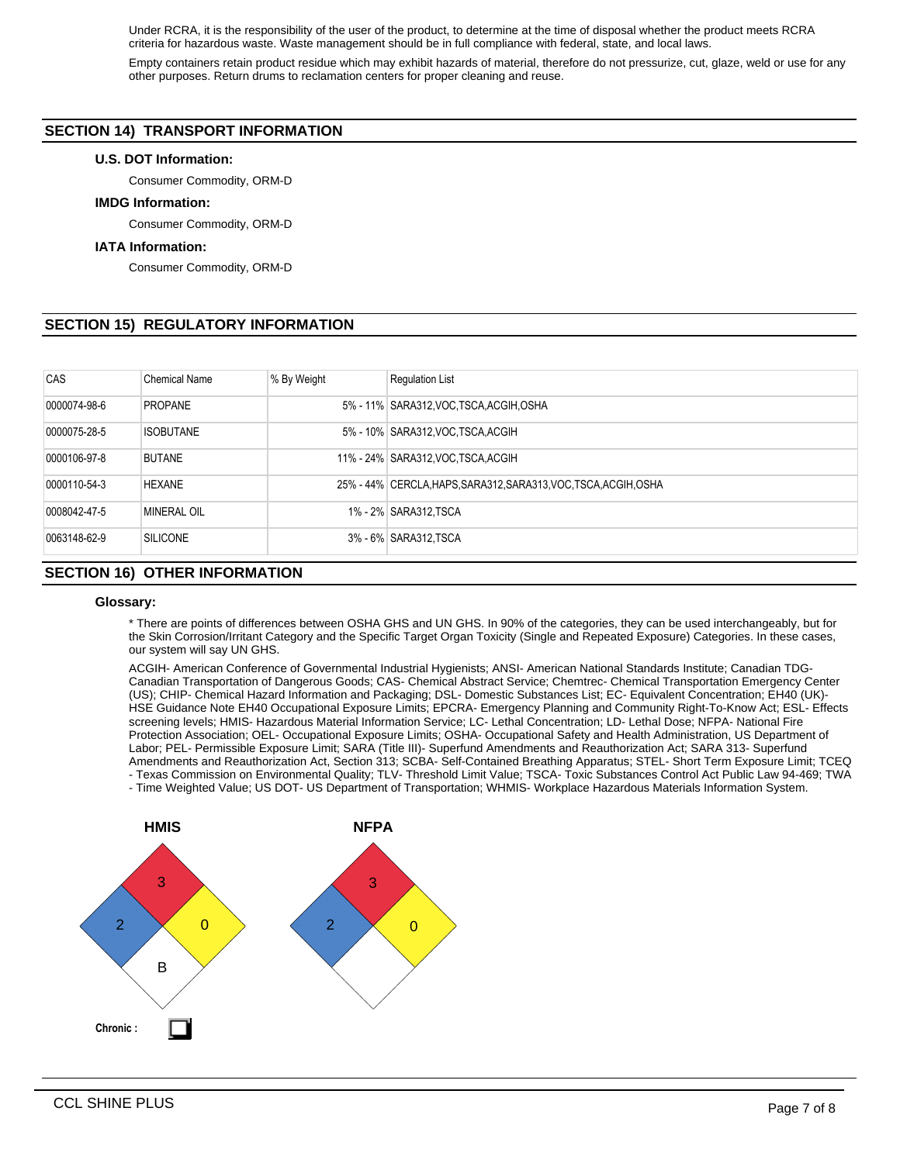Under RCRA, it is the responsibility of the user of the product, to determine at the time of disposal whether the product meets RCRA criteria for hazardous waste. Waste management should be in full compliance with federal, state, and local laws.

Empty containers retain product residue which may exhibit hazards of material, therefore do not pressurize, cut, glaze, weld or use for any other purposes. Return drums to reclamation centers for proper cleaning and reuse.

# **SECTION 14) TRANSPORT INFORMATION**

### **U.S. DOT Information:**

Consumer Commodity, ORM-D

#### **IMDG Information:**

Consumer Commodity, ORM-D

#### **IATA Information:**

Consumer Commodity, ORM-D

## **SECTION 15) REGULATORY INFORMATION**

| CAS          | <b>Chemical Name</b> | % By Weight | <b>Regulation List</b>                                           |  |  |  |
|--------------|----------------------|-------------|------------------------------------------------------------------|--|--|--|
| 0000074-98-6 | <b>PROPANE</b>       |             | 5% - 11% SARA312, VOC TSCA, ACGIH, OSHA                          |  |  |  |
| 0000075-28-5 | <b>ISOBUTANE</b>     |             | 5% - 10% SARA312, VOC TSCA, ACGIH                                |  |  |  |
| 0000106-97-8 | <b>BUTANE</b>        |             | 11% - 24% SARA312, VOC. TSCA, ACGIH                              |  |  |  |
| 0000110-54-3 | <b>HEXANE</b>        |             | 25% - 44% CERCLA, HAPS, SARA312, SARA313, VOC, TSCA, ACGIH, OSHA |  |  |  |
| 0008042-47-5 | <b>MINERAL OIL</b>   |             | 1% - 2% SARA312, TSCA                                            |  |  |  |
| 0063148-62-9 | <b>SILICONE</b>      |             | 3% - 6% SARA312, TSCA                                            |  |  |  |
|              |                      |             |                                                                  |  |  |  |

# **SECTION 16) OTHER INFORMATION**

#### **Glossary:**

\* There are points of differences between OSHA GHS and UN GHS. In 90% of the categories, they can be used interchangeably, but for the Skin Corrosion/Irritant Category and the Specific Target Organ Toxicity (Single and Repeated Exposure) Categories. In these cases, our system will say UN GHS.

ACGIH- American Conference of Governmental Industrial Hygienists; ANSI- American National Standards Institute; Canadian TDG-Canadian Transportation of Dangerous Goods; CAS- Chemical Abstract Service; Chemtrec- Chemical Transportation Emergency Center (US); CHIP- Chemical Hazard Information and Packaging; DSL- Domestic Substances List; EC- Equivalent Concentration; EH40 (UK)- HSE Guidance Note EH40 Occupational Exposure Limits; EPCRA- Emergency Planning and Community Right-To-Know Act; ESL- Effects screening levels; HMIS- Hazardous Material Information Service; LC- Lethal Concentration; LD- Lethal Dose; NFPA- National Fire Protection Association; OEL- Occupational Exposure Limits; OSHA- Occupational Safety and Health Administration, US Department of Labor; PEL- Permissible Exposure Limit; SARA (Title III)- Superfund Amendments and Reauthorization Act; SARA 313- Superfund Amendments and Reauthorization Act, Section 313; SCBA- Self-Contained Breathing Apparatus; STEL- Short Term Exposure Limit; TCEQ - Texas Commission on Environmental Quality; TLV- Threshold Limit Value; TSCA- Toxic Substances Control Act Public Law 94-469; TWA - Time Weighted Value; US DOT- US Department of Transportation; WHMIS- Workplace Hazardous Materials Information System.